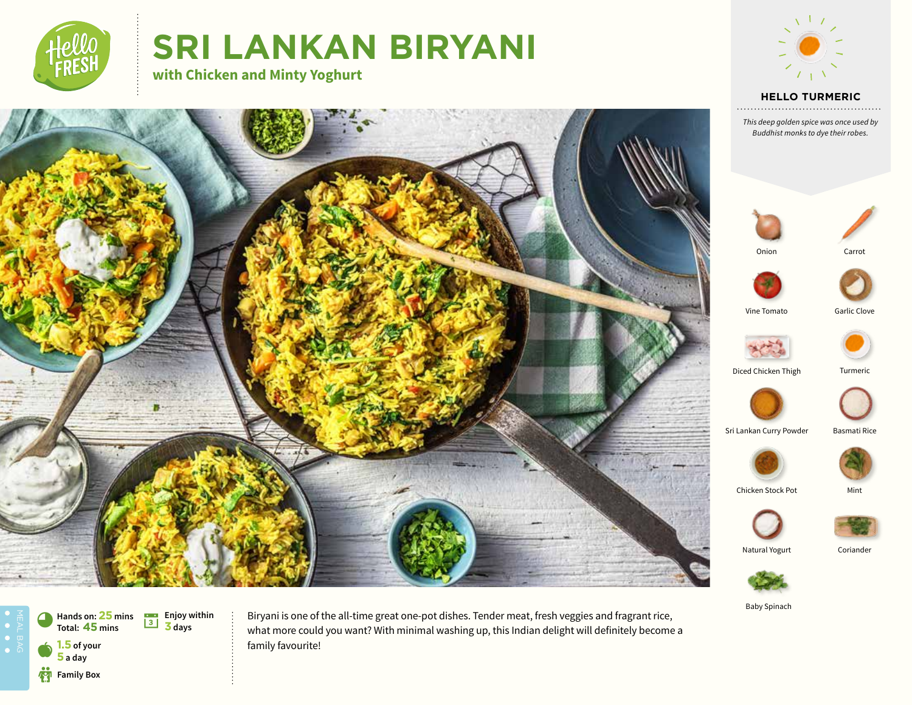

# **SRI LANKAN BIRYANI**

**with Chicken and Minty Yoghurt**



### **HELLO TURMERIC**

*This deep golden spice was once used by Buddhist monks to dye their robes.*



Baby Spinach



Biryani is one of the all-time great one-pot dishes. Tender meat, fresh veggies and fragrant rice, what more could you want? With minimal washing up, this Indian delight will definitely become a family favourite!